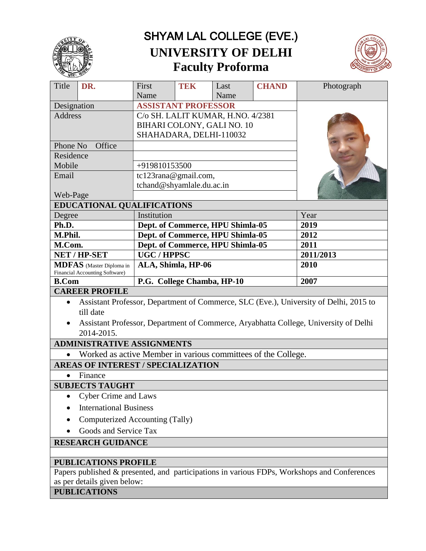

# SHYAM LAL COLLEGE (EVE.) **UNIVERSITY OF DELHI Faculty Proforma**



| Title                                                             | DR.                                                           | First                             | TEK | Last | <b>CHAND</b> | Photograph                                                                                  |
|-------------------------------------------------------------------|---------------------------------------------------------------|-----------------------------------|-----|------|--------------|---------------------------------------------------------------------------------------------|
|                                                                   |                                                               | Name                              |     | Name |              |                                                                                             |
| Designation                                                       |                                                               | <b>ASSISTANT PROFESSOR</b>        |     |      |              |                                                                                             |
| <b>Address</b>                                                    |                                                               | C/o SH. LALIT KUMAR, H.NO. 4/2381 |     |      |              |                                                                                             |
|                                                                   |                                                               | BIHARI COLONY, GALI NO. 10        |     |      |              |                                                                                             |
|                                                                   |                                                               | SHAHADARA, DELHI-110032           |     |      |              |                                                                                             |
| Office<br>Phone No                                                |                                                               |                                   |     |      |              |                                                                                             |
| Residence                                                         |                                                               |                                   |     |      |              |                                                                                             |
| Mobile                                                            |                                                               | +919810153500                     |     |      |              |                                                                                             |
| Email                                                             |                                                               | tc123rana@gmail.com,              |     |      |              |                                                                                             |
|                                                                   |                                                               | tchand@shyamlale.du.ac.in         |     |      |              |                                                                                             |
| Web-Page                                                          |                                                               |                                   |     |      |              |                                                                                             |
| <b>EDUCATIONAL QUALIFICATIONS</b>                                 |                                                               |                                   |     |      |              |                                                                                             |
| Degree                                                            |                                                               | Institution                       |     |      |              | Year                                                                                        |
| Ph.D.                                                             |                                                               | Dept. of Commerce, HPU Shimla-05  |     |      | 2019         |                                                                                             |
| M.Phil.                                                           |                                                               | Dept. of Commerce, HPU Shimla-05  |     |      | 2012         |                                                                                             |
| M.Com.                                                            |                                                               | Dept. of Commerce, HPU Shimla-05  |     |      | 2011         |                                                                                             |
| NET / HP-SET                                                      |                                                               | <b>UGC/HPPSC</b>                  |     |      | 2011/2013    |                                                                                             |
| <b>MDFAS</b> (Master Diploma in<br>Financial Accounting Software) |                                                               | ALA, Shimla, HP-06                |     |      | 2010         |                                                                                             |
| <b>B.Com</b>                                                      |                                                               | P.G. College Chamba, HP-10        |     |      |              | 2007                                                                                        |
|                                                                   |                                                               |                                   |     |      |              |                                                                                             |
|                                                                   | <b>CAREER PROFILE</b>                                         |                                   |     |      |              |                                                                                             |
| $\bullet$                                                         | till date                                                     |                                   |     |      |              | Assistant Professor, Department of Commerce, SLC (Eve.), University of Delhi, 2015 to       |
|                                                                   |                                                               |                                   |     |      |              | Assistant Professor, Department of Commerce, Aryabhatta College, University of Delhi        |
|                                                                   | 2014-2015.                                                    |                                   |     |      |              |                                                                                             |
|                                                                   | <b>ADMINISTRATIVE ASSIGNMENTS</b>                             |                                   |     |      |              |                                                                                             |
| $\bullet$                                                         | Worked as active Member in various committees of the College. |                                   |     |      |              |                                                                                             |
|                                                                   | <b>AREAS OF INTEREST / SPECIALIZATION</b>                     |                                   |     |      |              |                                                                                             |
|                                                                   | Finance                                                       |                                   |     |      |              |                                                                                             |
|                                                                   | <b>SUBJECTS TAUGHT</b>                                        |                                   |     |      |              |                                                                                             |
|                                                                   | <b>Cyber Crime and Laws</b>                                   |                                   |     |      |              |                                                                                             |
|                                                                   | <b>International Business</b>                                 |                                   |     |      |              |                                                                                             |
|                                                                   | Computerized Accounting (Tally)                               |                                   |     |      |              |                                                                                             |
|                                                                   | Goods and Service Tax                                         |                                   |     |      |              |                                                                                             |
|                                                                   | <b>RESEARCH GUIDANCE</b>                                      |                                   |     |      |              |                                                                                             |
|                                                                   |                                                               |                                   |     |      |              |                                                                                             |
|                                                                   | <b>PUBLICATIONS PROFILE</b>                                   |                                   |     |      |              | Papers published & presented, and participations in various FDPs, Workshops and Conferences |

as per details given below:

**PUBLICATIONS**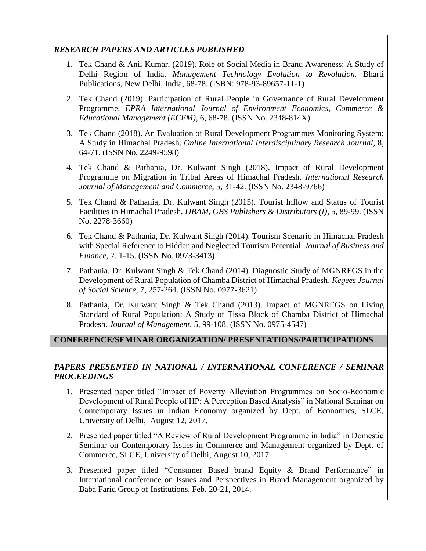## *RESEARCH PAPERS AND ARTICLES PUBLISHED*

- 1. Tek Chand & Anil Kumar, (2019). Role of Social Media in Brand Awareness: A Study of Delhi Region of India. *Management Technology Evolution to Revolution.* Bharti Publications, New Delhi, India, 68-78. (ISBN: 978-93-89657-11-1)
- 2. Tek Chand (2019). Participation of Rural People in Governance of Rural Development Programme. *EPRA International Journal of Environment Economics, Commerce & Educational Management (ECEM)*, 6, 68-78. (ISSN No. 2348-814X)
- 3. Tek Chand (2018). An Evaluation of Rural Development Programmes Monitoring System: A Study in Himachal Pradesh. *Online International Interdisciplinary Research Journal*, 8, 64-71. (ISSN No. 2249-9598)
- 4. Tek Chand & Pathania, Dr. Kulwant Singh (2018). Impact of Rural Development Programme on Migration in Tribal Areas of Himachal Pradesh. *International Research Journal of Management and Commerce*, 5, 31-42. (ISSN No. 2348-9766)
- 5. Tek Chand & Pathania, Dr. Kulwant Singh (2015). Tourist Inflow and Status of Tourist Facilities in Himachal Pradesh. *IJBAM, GBS Publishers & Distributors (I)*, 5, 89-99. (ISSN No. 2278-3660)
- 6. Tek Chand & Pathania, Dr. Kulwant Singh (2014). Tourism Scenario in Himachal Pradesh with Special Reference to Hidden and Neglected Tourism Potential. *Journal of Business and Finance*, 7, 1-15. (ISSN No. 0973-3413)
- 7. Pathania, Dr. Kulwant Singh & Tek Chand (2014). Diagnostic Study of MGNREGS in the Development of Rural Population of Chamba District of Himachal Pradesh. *Kegees Journal of Social Science,* 7, 257-264. (ISSN No. 0977-3621)
- 8. Pathania, Dr. Kulwant Singh & Tek Chand (2013). Impact of MGNREGS on Living Standard of Rural Population: A Study of Tissa Block of Chamba District of Himachal Pradesh. *Journal of Management,* 5, 99-108. (ISSN No. 0975-4547)

## **CONFERENCE/SEMINAR ORGANIZATION/ PRESENTATIONS/PARTICIPATIONS**

#### *PAPERS PRESENTED IN NATIONAL / INTERNATIONAL CONFERENCE / SEMINAR PROCEEDINGS*

- 1. Presented paper titled "Impact of Poverty Alleviation Programmes on Socio-Economic Development of Rural People of HP: A Perception Based Analysis" in National Seminar on Contemporary Issues in Indian Economy organized by Dept. of Economics, SLCE, University of Delhi, August 12, 2017.
- 2. Presented paper titled "A Review of Rural Development Programme in India" in Domestic Seminar on Contemporary Issues in Commerce and Management organized by Dept. of Commerce, SLCE, University of Delhi, August 10, 2017.
- 3. Presented paper titled "Consumer Based brand Equity & Brand Performance" in International conference on Issues and Perspectives in Brand Management organized by Baba Farid Group of Institutions, Feb. 20-21, 2014.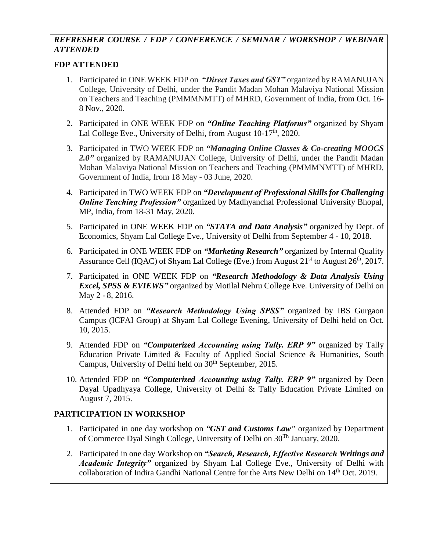# *REFRESHER COURSE / FDP / CONFERENCE / SEMINAR / WORKSHOP / WEBINAR ATTENDED*

## **FDP ATTENDED**

- 1. Participated in ONE WEEK FDP on *"Direct Taxes and GST"* organized by RAMANUJAN College, University of Delhi, under the Pandit Madan Mohan Malaviya National Mission on Teachers and Teaching (PMMMNMTT) of MHRD, Government of India, from Oct. 16- 8 Nov., 2020.
- 2. Participated in ONE WEEK FDP on *"Online Teaching Platforms"* organized by Shyam Lal College Eve., University of Delhi, from August 10-17<sup>th</sup>, 2020.
- 3. Participated in TWO WEEK FDP on *"Managing Online Classes & Co-creating MOOCS 2.0"* organized by RAMANUJAN College, University of Delhi, under the Pandit Madan Mohan Malaviya National Mission on Teachers and Teaching (PMMMNMTT) of MHRD, Government of India, from 18 May - 03 June, 2020.
- 4. Participated in TWO WEEK FDP on *"Development of Professional Skills for Challenging Online Teaching Profession"* organized by Madhyanchal Professional University Bhopal, MP, India, from 18-31 May, 2020.
- 5. Participated in ONE WEEK FDP on *"STATA and Data Analysis"* organized by Dept. of Economics, Shyam Lal College Eve., University of Delhi from September 4 - 10, 2018.
- 6. Participated in ONE WEEK FDP on *"Marketing Research"* organized by Internal Quality Assurance Cell (IQAC) of Shyam Lal College (Eve.) from August 21<sup>st</sup> to August 26<sup>th</sup>, 2017.
- 7. Participated in ONE WEEK FDP on *"Research Methodology & Data Analysis Using Excel, SPSS & EVIEWS"* organized by Motilal Nehru College Eve. University of Delhi on May 2 - 8, 2016.
- 8. Attended FDP on *"Research Methodology Using SPSS"* organized by IBS Gurgaon Campus (ICFAI Group) at Shyam Lal College Evening, University of Delhi held on Oct. 10, 2015.
- 9. Attended FDP on *"Computerized Accounting using Tally. ERP 9"* organized by Tally Education Private Limited & Faculty of Applied Social Science & Humanities, South Campus, University of Delhi held on  $30<sup>th</sup>$  September, 2015.
- 10. Attended FDP on *"Computerized Accounting using Tally. ERP 9"* organized by Deen Dayal Upadhyaya College, University of Delhi & Tally Education Private Limited on August 7, 2015.

## **PARTICIPATION IN WORKSHOP**

- 1. Participated in one day workshop on *"GST and Customs Law"* organized by Department of Commerce Dyal Singh College, University of Delhi on 30Th January, 2020.
- 2. Participated in one day Workshop on *"Search, Research, Effective Research Writings and Academic Integrity"* organized by Shyam Lal College Eve., University of Delhi with collaboration of Indira Gandhi National Centre for the Arts New Delhi on 14th Oct. 2019.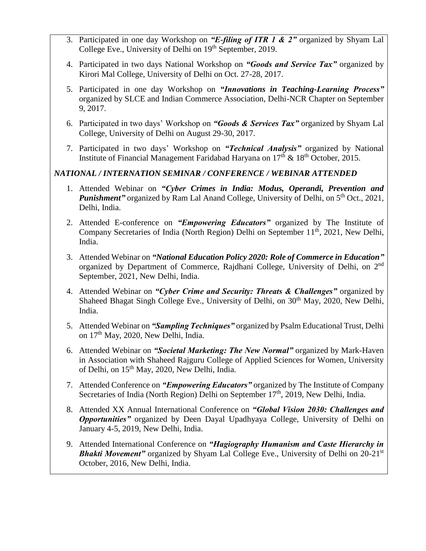- 3. Participated in one day Workshop on *"E-filing of ITR 1 & 2"* organized by Shyam Lal College Eve., University of Delhi on 19<sup>th</sup> September, 2019.
- 4. Participated in two days National Workshop on *"Goods and Service Tax"* organized by Kirori Mal College, University of Delhi on Oct. 27-28, 2017.
- 5. Participated in one day Workshop on *"Innovations in Teaching-Learning Process"* organized by SLCE and Indian Commerce Association, Delhi-NCR Chapter on September 9, 2017.
- 6. Participated in two days' Workshop on *"Goods & Services Tax"* organized by Shyam Lal College, University of Delhi on August 29-30, 2017.
- 7. Participated in two days' Workshop on *"Technical Analysis"* organized by National Institute of Financial Management Faridabad Haryana on  $17<sup>th</sup>$  &  $18<sup>th</sup>$  October, 2015.

## *NATIONAL / INTERNATION SEMINAR / CONFERENCE / WEBINAR ATTENDED*

- 1. Attended Webinar on *"Cyber Crimes in India: Modus, Operandi, Prevention and Punishment* organized by Ram Lal Anand College, University of Delhi, on 5<sup>th</sup> Oct., 2021, Delhi, India.
- 2. Attended E-conference on *"Empowering Educators"* organized by The Institute of Company Secretaries of India (North Region) Delhi on September  $11<sup>th</sup>$ , 2021, New Delhi, India.
- 3. Attended Webinar on *"National Education Policy 2020: Role of Commerce in Education"* organized by Department of Commerce, Rajdhani College, University of Delhi, on 2<sup>nd</sup> September, 2021, New Delhi, India.
- 4. Attended Webinar on *"Cyber Crime and Security: Threats & Challenges"* organized by Shaheed Bhagat Singh College Eve., University of Delhi, on 30<sup>th</sup> May, 2020, New Delhi, India.
- 5. Attended Webinar on *"Sampling Techniques"* organized by Psalm Educational Trust, Delhi on 17th May, 2020, New Delhi, India.
- 6. Attended Webinar on *"Societal Marketing: The New Normal"* organized by Mark-Haven in Association with Shaheed Rajguru College of Applied Sciences for Women, University of Delhi, on  $15<sup>th</sup>$  May, 2020, New Delhi, India.
- 7. Attended Conference on *"Empowering Educators"* organized by The Institute of Company Secretaries of India (North Region) Delhi on September 17<sup>th</sup>, 2019, New Delhi, India.
- 8. Attended XX Annual International Conference on *"Global Vision 2030: Challenges and Opportunities* organized by Deen Dayal Upadhyaya College, University of Delhi on January 4-5, 2019, New Delhi, India.
- 9. Attended International Conference on *"Hagiography Humanism and Caste Hierarchy in Bhakti Movement*" organized by Shyam Lal College Eve., University of Delhi on 20-21<sup>st</sup> October, 2016, New Delhi, India.